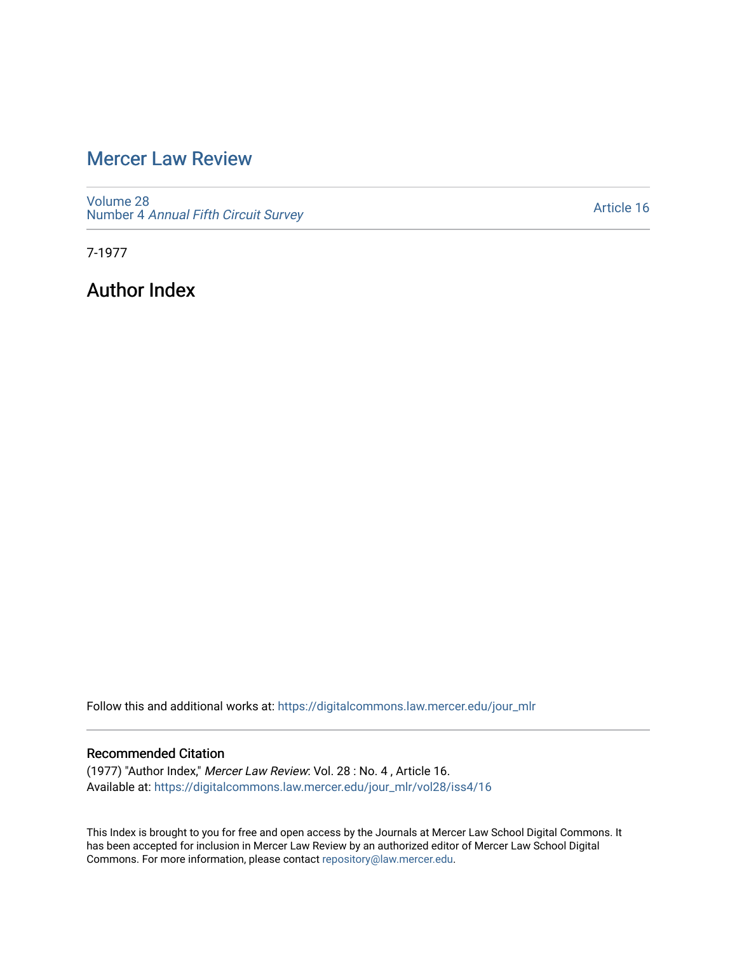## [Mercer Law Review](https://digitalcommons.law.mercer.edu/jour_mlr)

[Volume 28](https://digitalcommons.law.mercer.edu/jour_mlr/vol28) Number 4 [Annual Fifth Circuit Survey](https://digitalcommons.law.mercer.edu/jour_mlr/vol28/iss4)

[Article 16](https://digitalcommons.law.mercer.edu/jour_mlr/vol28/iss4/16) 

7-1977

Author Index

Follow this and additional works at: [https://digitalcommons.law.mercer.edu/jour\\_mlr](https://digitalcommons.law.mercer.edu/jour_mlr?utm_source=digitalcommons.law.mercer.edu%2Fjour_mlr%2Fvol28%2Fiss4%2F16&utm_medium=PDF&utm_campaign=PDFCoverPages)

## Recommended Citation

(1977) "Author Index," Mercer Law Review: Vol. 28 : No. 4 , Article 16. Available at: [https://digitalcommons.law.mercer.edu/jour\\_mlr/vol28/iss4/16](https://digitalcommons.law.mercer.edu/jour_mlr/vol28/iss4/16?utm_source=digitalcommons.law.mercer.edu%2Fjour_mlr%2Fvol28%2Fiss4%2F16&utm_medium=PDF&utm_campaign=PDFCoverPages) 

This Index is brought to you for free and open access by the Journals at Mercer Law School Digital Commons. It has been accepted for inclusion in Mercer Law Review by an authorized editor of Mercer Law School Digital Commons. For more information, please contact [repository@law.mercer.edu.](mailto:repository@law.mercer.edu)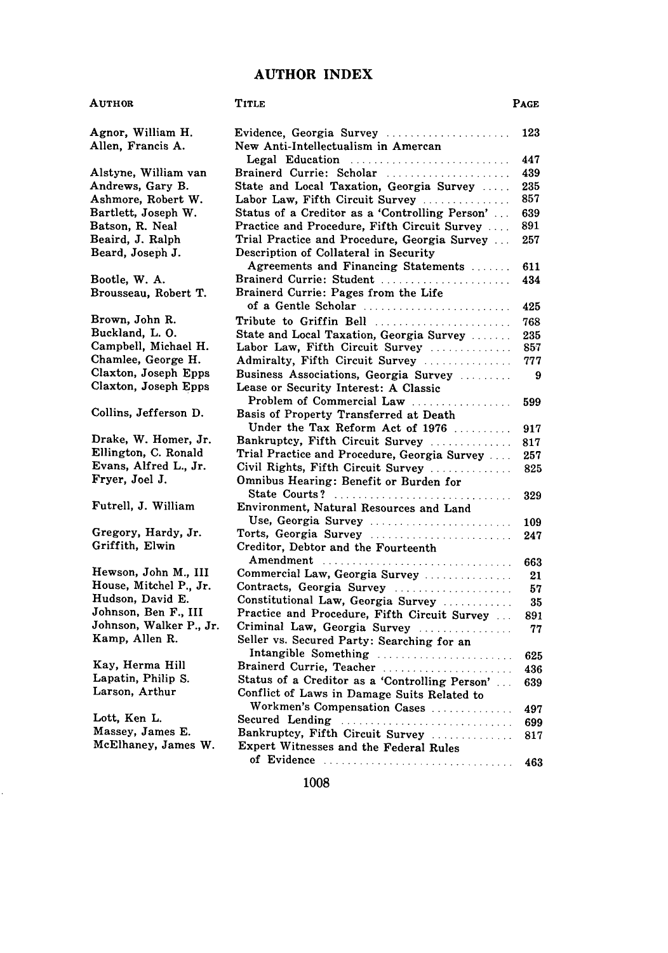## **AUTHOR INDEX**

| AUTHOR                                 | Title                                                                                         | Page       |
|----------------------------------------|-----------------------------------------------------------------------------------------------|------------|
| Agnor, William H.<br>Allen, Francis A. | Evidence, Georgia Survey<br>New Anti-Intellectualism in Amercan                               | 123        |
|                                        | Legal Education                                                                               | 447        |
| Alstyne, William van                   | Brainerd Currie: Scholar                                                                      | 439        |
| Andrews, Gary B.                       | State and Local Taxation, Georgia Survey                                                      | 235        |
| Ashmore, Robert W.                     | Labor Law, Fifth Circuit Survey                                                               | 857        |
| Bartlett, Joseph W.                    | Status of a Creditor as a 'Controlling Person'                                                | 639        |
| Batson, R. Neal                        | Practice and Procedure, Fifth Circuit Survey                                                  | 891        |
| Beaird, J. Ralph<br>Beard, Joseph J.   | Trial Practice and Procedure, Georgia Survey<br>Description of Collateral in Security         | 257        |
|                                        | Agreements and Financing Statements                                                           | 611        |
| Bootle, W. A.                          | Brainerd Currie: Student                                                                      | 434        |
| Brousseau, Robert T.                   | Brainerd Currie: Pages from the Life                                                          |            |
| Brown, John R.                         | of a Gentle Scholar<br>Tribute to Griffin Bell                                                | 425<br>768 |
| Buckland, L. O.                        | State and Local Taxation, Georgia Survey                                                      | 235        |
| Campbell, Michael H.                   | Labor Law, Fifth Circuit Survey                                                               | 857        |
| Chamlee, George H.                     | Admiralty, Fifth Circuit Survey                                                               | 777        |
| Claxton, Joseph Epps                   | Business Associations, Georgia Survey                                                         | 9          |
| Claxton, Joseph Epps                   | Lease or Security Interest: A Classic                                                         |            |
| Collins, Jefferson D.                  | Problem of Commercial Law<br>Basis of Property Transferred at Death                           | 599        |
|                                        | Under the Tax Reform Act of 1976                                                              | 917        |
| Drake, W. Homer, Jr.                   | Bankruptcy, Fifth Circuit Survey                                                              | 817        |
| Ellington, C. Ronald                   | Trial Practice and Procedure, Georgia Survey                                                  | 257        |
| Evans, Alfred L., Jr.                  | Civil Rights, Fifth Circuit Survey                                                            | 825        |
| Fryer, Joel J.                         | Omnibus Hearing: Benefit or Burden for<br>State Courts?                                       | 329        |
| Futrell, J. William                    | Environment, Natural Resources and Land<br>Use, Georgia Survey                                | 109        |
| Gregory, Hardy, Jr.                    | Torts, Georgia Survey                                                                         | 247        |
| Griffith, Elwin                        | Creditor, Debtor and the Fourteenth                                                           |            |
| Hewson, John M., III                   | Amendment<br>Commercial Law, Georgia Survey                                                   | 663        |
| House, Mitchel P., Jr.                 | Contracts, Georgia Survey                                                                     | 21         |
| Hudson, David E.                       | Constitutional Law, Georgia Survey                                                            | 57         |
| Johnson, Ben F., III                   | Practice and Procedure, Fifth Circuit Survey                                                  | 35<br>891  |
| Johnson, Walker P., Jr.                | Criminal Law, Georgia Survey                                                                  | 77         |
| Kamp, Allen R.                         | Seller vs. Secured Party: Searching for an                                                    |            |
| Kay, Herma Hill                        | Intangible Something                                                                          | 625        |
| Lapatin, Philip S.                     | Brainerd Currie, Teacher                                                                      | 436        |
| Larson, Arthur                         | Status of a Creditor as a 'Controlling Person'<br>Conflict of Laws in Damage Suits Related to | 639        |
| Lott, Ken L.                           | Workmen's Compensation Cases                                                                  | 497        |
| Massey, James E.                       | Secured Lending                                                                               | 699        |
| McElhaney, James W.                    | Bankruptcy, Fifth Circuit Survey<br>Expert Witnesses and the Federal Rules                    | 817        |
|                                        |                                                                                               | 463        |

ċ,